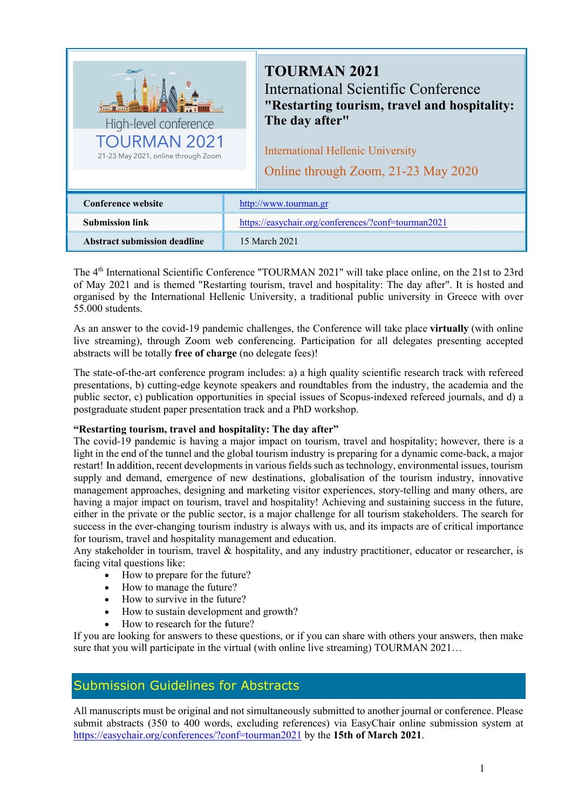| High-level conference<br><b>TOURMAN 2021</b><br>21-23 May 2021, online through Zoom |                                                     | <b>TOURMAN 2021</b><br>International Scientific Conference<br>"Restarting tourism, travel and hospitality:<br>The day after"<br><b>International Hellenic University</b><br>Online through Zoom, 21-23 May 2020 |
|-------------------------------------------------------------------------------------|-----------------------------------------------------|-----------------------------------------------------------------------------------------------------------------------------------------------------------------------------------------------------------------|
| <b>Conference website</b>                                                           | http://www.tourman.gr                               |                                                                                                                                                                                                                 |
| <b>Submission link</b>                                                              | https://easychair.org/conferences/?conf=tourman2021 |                                                                                                                                                                                                                 |
| <b>Abstract submission deadline</b>                                                 | 15 March 2021                                       |                                                                                                                                                                                                                 |

The 4<sup>th</sup> International Scientific Conference "TOURMAN 2021" will take place online, on the 21st to 23rd of May 2021 and is themed "Restarting tourism, travel and hospitality: The day after". It is hosted and organised by the International Hellenic University, a traditional public university in Greece with over 55.000 students.

As an answer to the covid-19 pandemic challenges, the Conference will take place **virtually** (with online live streaming), through Zoom web conferencing. Participation for all delegates presenting accepted abstracts will be totally **free of charge** (no delegate fees)!

The state-of-the-art conference program includes: a) a high quality scientific research track with refereed presentations, b) cutting-edge keynote speakers and roundtables from the industry, the academia and the public sector, c) publication opportunities in special issues of Scopus-indexed refereed journals, and d) a postgraduate student paper presentation track and a PhD workshop.

#### **"Restarting tourism, travel and hospitality: The day after"**

The covid-19 pandemic is having a major impact on tourism, travel and hospitality; however, there is a light in the end of the tunnel and the global tourism industry is preparing for a dynamic come-back, a major restart! In addition, recent developments in various fields such as technology, environmental issues, tourism supply and demand, emergence of new destinations, globalisation of the tourism industry, innovative management approaches, designing and marketing visitor experiences, story-telling and many others, are having a major impact on tourism, travel and hospitality! Achieving and sustaining success in the future, either in the private or the public sector, is a major challenge for all tourism stakeholders. The search for success in the ever-changing tourism industry is always with us, and its impacts are of critical importance for tourism, travel and hospitality management and education.

Any stakeholder in tourism, travel  $\&$  hospitality, and any industry practitioner, educator or researcher, is facing vital questions like:

- How to prepare for the future?
- How to manage the future?
- How to survive in the future?
- How to sustain development and growth?
- How to research for the future?

If you are looking for answers to these questions, or if you can share with others your answers, then make sure that you will participate in the virtual (with online live streaming) TOURMAN 2021…

## Submission Guidelines for Abstracts

All manuscripts must be original and not simultaneously submitted to another journal or conference. Please submit abstracts (350 to 400 words, excluding references) via EasyChair online submission system at https://easychair.org/conferences/?conf=tourman2021 by the **15th of March 2021**.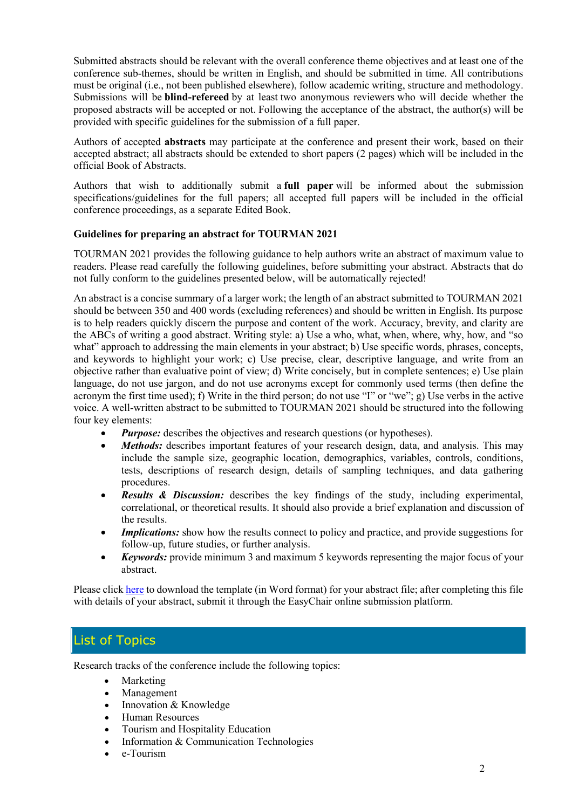Submitted abstracts should be relevant with the overall conference theme objectives and at least one of the conference sub-themes, should be written in English, and should be submitted in time. All contributions must be original (i.e., not been published elsewhere), follow academic writing, structure and methodology. Submissions will be **blind-refereed** by at least two anonymous reviewers who will decide whether the proposed abstracts will be accepted or not. Following the acceptance of the abstract, the author(s) will be provided with specific guidelines for the submission of a full paper.

Authors of accepted **abstracts** may participate at the conference and present their work, based on their accepted abstract; all abstracts should be extended to short papers (2 pages) which will be included in the official Book of Abstracts.

Authors that wish to additionally submit a **full paper** will be informed about the submission specifications/guidelines for the full papers; all accepted full papers will be included in the official conference proceedings, as a separate Edited Book.

#### **Guidelines for preparing an abstract for TOURMAN 2021**

TOURMAN 2021 provides the following guidance to help authors write an abstract of maximum value to readers. Please read carefully the following guidelines, before submitting your abstract. Abstracts that do not fully conform to the guidelines presented below, will be automatically rejected!

An abstract is a concise summary of a larger work; the length of an abstract submitted to TOURMAN 2021 should be between 350 and 400 words (excluding references) and should be written in English. Its purpose is to help readers quickly discern the purpose and content of the work. Accuracy, brevity, and clarity are the ABCs of writing a good abstract. Writing style: a) Use a who, what, when, where, why, how, and "so what" approach to addressing the main elements in your abstract; b) Use specific words, phrases, concepts, and keywords to highlight your work; c) Use precise, clear, descriptive language, and write from an objective rather than evaluative point of view; d) Write concisely, but in complete sentences; e) Use plain language, do not use jargon, and do not use acronyms except for commonly used terms (then define the acronym the first time used); f) Write in the third person; do not use "I" or "we"; g) Use verbs in the active voice. A well-written abstract to be submitted to TOURMAN 2021 should be structured into the following four key elements:

- *Purpose:* describes the objectives and research questions (or hypotheses).
- Methods: describes important features of your research design, data, and analysis. This may include the sample size, geographic location, demographics, variables, controls, conditions, tests, descriptions of research design, details of sampling techniques, and data gathering procedures.
- *Results & Discussion:* describes the key findings of the study, including experimental, correlational, or theoretical results. It should also provide a brief explanation and discussion of the results.
- *Implications:* show how the results connect to policy and practice, and provide suggestions for follow-up, future studies, or further analysis.
- *Keywords:* provide minimum 3 and maximum 5 keywords representing the major focus of your abstract.

Please click here to download the template (in Word format) for your abstract file; after completing this file with details of your abstract, submit it through the EasyChair online submission platform.

## List of Topics

Research tracks of the conference include the following topics:

- **Marketing**
- Management
- Innovation & Knowledge
- Human Resources
- Tourism and Hospitality Education
- Information & Communication Technologies
- e-Tourism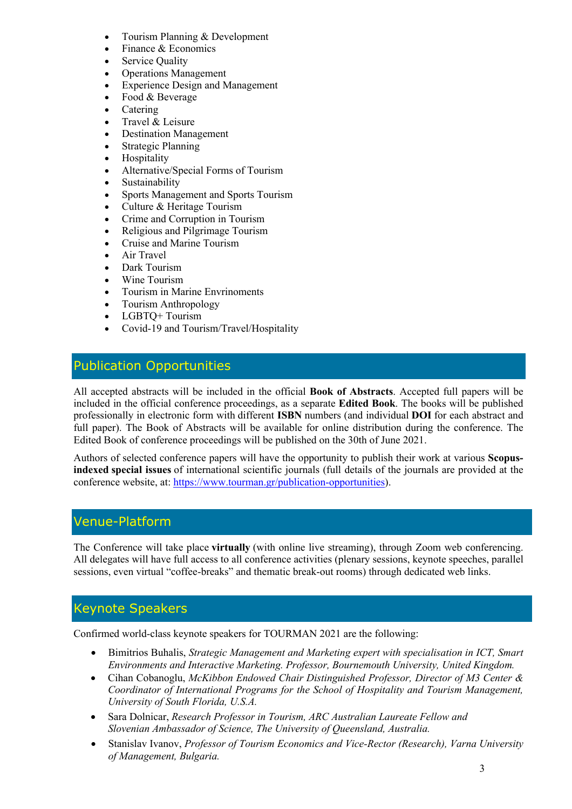- Tourism Planning & Development
- Finance & Economics
- Service Quality
- Operations Management
- **Experience Design and Management**
- Food & Beverage
- **Catering**
- Travel & Leisure
- Destination Management
- Strategic Planning
- **Hospitality**
- Alternative/Special Forms of Tourism
- **Sustainability**
- Sports Management and Sports Tourism
- Culture & Heritage Tourism
- Crime and Corruption in Tourism
- Religious and Pilgrimage Tourism
- Cruise and Marine Tourism
- Air Travel
- Dark Tourism
- Wine Tourism
- Tourism in Marine Envrinoments
- Tourism Anthropology
- LGBTQ+Tourism
- Covid-19 and Tourism/Travel/Hospitality

## Publication Opportunities

All accepted abstracts will be included in the official **Book of Abstracts**. Accepted full papers will be included in the official conference proceedings, as a separate **Edited Book**. The books will be published professionally in electronic form with different **ISBN** numbers (and individual **DOI** for each abstract and full paper). The Book of Abstracts will be available for online distribution during the conference. The Edited Book of conference proceedings will be published on the 30th of June 2021.

Authors of selected conference papers will have the opportunity to publish their work at various **Scopusindexed special issues** of international scientific journals (full details of the journals are provided at the conference website, at: https://www.tourman.gr/publication-opportunities).

## Venue-Platform

The Conference will take place **virtually** (with online live streaming), through Zoom web conferencing. All delegates will have full access to all conference activities (plenary sessions, keynote speeches, parallel sessions, even virtual "coffee-breaks" and thematic break-out rooms) through dedicated web links.

## Keynote Speakers

Confirmed world-class keynote speakers for TOURMAN 2021 are the following:

- Bimitrios Buhalis, *Strategic Management and Marketing expert with specialisation in ICT, Smart Environments and Interactive Marketing. Professor, Bournemouth University, United Kingdom.*
- Cihan Cobanoglu, *McKibbon Endowed Chair Distinguished Professor, Director of M3 Center & Coordinator of International Programs for the School of Hospitality and Tourism Management, University of South Florida, U.S.A.*
- Sara Dolnicar, *Research Professor in Tourism, ARC Australian Laureate Fellow and Slovenian Ambassador of Science, The University of Queensland, Australia.*
- Stanislav Ivanov, *Professor of Tourism Economics and Vice-Rector (Research), Varna University of Management, Bulgaria.*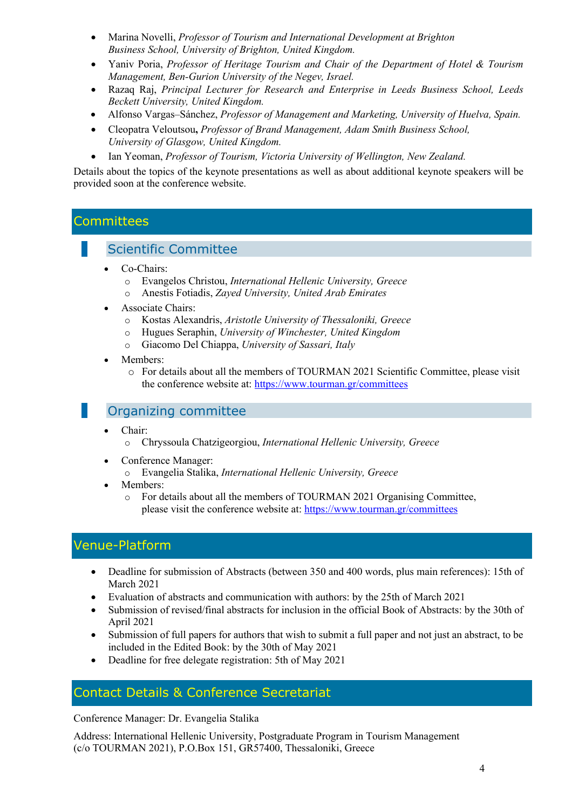- Marina Novelli, *Professor of Tourism and International Development at Brighton Business School, University of Brighton, United Kingdom.*
- Yaniv Poria, *Professor of Heritage Tourism and Chair of the Department of Hotel & Tourism Management, Ben-Gurion University of the Negev, Israel.*
- Razaq Raj, *Principal Lecturer for Research and Enterprise in Leeds Business School, Leeds Beckett University, United Kingdom.*
- Alfonso Vargas–Sánchez, *Professor of Μanagement and Marketing, University of Huelva, Spain.*
- Cleopatra Veloutsou**,** *Professor of Brand Management, Adam Smith Business School, University of Glasgow, United Kingdom.*
- Ian Yeoman, *Professor of Tourism, Victoria University of Wellington, New Zealand.*

Details about the topics of the keynote presentations as well as about additional keynote speakers will be provided soon at the conference website.

## **Committees**

## Scientific Committee

- Co-Chairs:
	- o Evangelos Christou, *International Hellenic University, Greece*
	- o Anestis Fotiadis, *Zayed University, United Arab Emirates*
- Associate Chairs:
	- o Kostas Alexandris, *Aristotle University of Thessaloniki, Greece*
	- o Hugues Seraphin, *University of Winchester, United Kingdom*
	- o Giacomo Del Chiappa, *University of Sassari, Italy*
- Members:
	- o For details about all the members of TOURMAN 2021 Scientific Committee, please visit the conference website at: https://www.tourman.gr/committees

## Organizing committee

- Chair:
	- o Chryssoula Chatzigeorgiou, *International Hellenic University, Greece*
- Conference Manager:
	- o Evangelia Stalika, *International Hellenic University, Greece*
- Members:
	- o For details about all the members of TOURMAN 2021 Organising Committee, please visit the conference website at: https://www.tourman.gr/committees

# Venue-Platform

- Deadline for submission of Abstracts (between 350 and 400 words, plus main references): 15th of March 2021
- Evaluation of abstracts and communication with authors: by the 25th of March 2021
- Submission of revised/final abstracts for inclusion in the official Book of Abstracts: by the 30th of April 2021
- Submission of full papers for authors that wish to submit a full paper and not just an abstract, to be included in the Edited Book: by the 30th of May 2021
- Deadline for free delegate registration: 5th of May 2021

## Contact Details & Conference Secretariat

Conference Manager: Dr. Evangelia Stalika

Address: International Hellenic University, Postgraduate Program in Tourism Management (c/o TOURMAN 2021), P.O.Box 151, GR57400, Thessaloniki, Greece